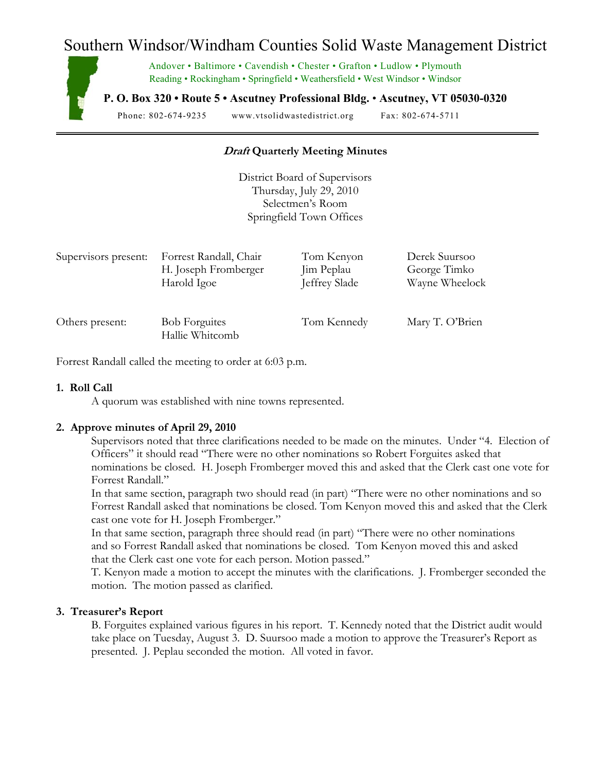# Southern Windsor/Windham Counties Solid Waste Management District



Andover • Baltimore • Cavendish • Chester • Grafton • Ludlow • Plymouth Reading • Rockingham • Springfield • Weathersfield • West Windsor • Windsor

**P. O. Box 320 • Route 5 • Ascutney Professional Bldg.** • **Ascutney, VT 05030-0320** 

Phone: 802-674-9235 www.vtsolidwastedistrict.org Fax: 802-674-5711

# **Draft Quarterly Meeting Minutes**

District Board of Supervisors Thursday, July 29, 2010 Selectmen's Room Springfield Town Offices

| Supervisors present: | Forrest Randall, Chair                  | Tom Kenyon    | Derek Suursoo   |
|----------------------|-----------------------------------------|---------------|-----------------|
|                      | H. Joseph Fromberger                    | Jim Peplau    | George Timko    |
|                      | Harold Igoe                             | Jeffrey Slade | Wayne Wheelock  |
| Others present:      | <b>Bob Forguites</b><br>Hallie Whitcomb | Tom Kennedy   | Mary T. O'Brien |

Forrest Randallcalled the meeting to order at 6:03 p.m.

#### **1. Roll Call**

A quorum was established with nine towns represented.

# **2. Approve minutes of April 29, 2010**

Supervisors noted that three clarifications needed to be made on the minutes. Under "4. Election of Officers" it should read "There were no other nominations so Robert Forguites asked that nominations be closed. H. Joseph Fromberger moved this and asked that the Clerk cast one vote for Forrest Randall."

 In that same section, paragraph two should read (in part) "There were no other nominations and so Forrest Randall asked that nominations be closed. Tom Kenyon moved this and asked that the Clerk cast one vote for H. Joseph Fromberger."

 In that same section, paragraph three should read (in part) "There were no other nominations and so Forrest Randall asked that nominations be closed. Tom Kenyon moved this and asked that the Clerk cast one vote for each person. Motion passed."

 T. Kenyon made a motion to accept the minutes with the clarifications. J. Fromberger seconded the motion. The motion passed as clarified.

#### **3. Treasurer's Report**

B. Forguites explained various figures in his report. T. Kennedy noted that the District audit would take place on Tuesday, August 3. D. Suursoo made a motion to approve the Treasurer's Report as presented. J. Peplau seconded the motion. All voted in favor.